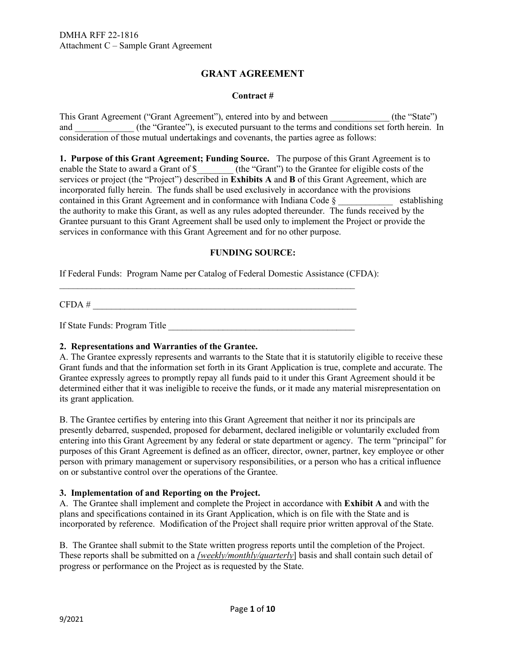# **GRANT AGREEMENT**

#### **Contract #**

This Grant Agreement ("Grant Agreement"), entered into by and between \_\_\_\_\_\_\_\_\_\_\_\_\_ (the "State") and \_\_\_\_\_\_\_\_\_\_\_\_\_ (the "Grantee"), is executed pursuant to the terms and conditions set forth herein. In consideration of those mutual undertakings and covenants, the parties agree as follows:

**1. Purpose of this Grant Agreement; Funding Source.** The purpose of this Grant Agreement is to enable the State to award a Grant of \$\_\_\_\_\_\_\_\_ (the "Grant") to the Grantee for eligible costs of the services or project (the "Project") described in **Exhibits A** and **B** of this Grant Agreement, which are incorporated fully herein. The funds shall be used exclusively in accordance with the provisions contained in this Grant Agreement and in conformance with Indiana Code  $\S$  establishing the authority to make this Grant, as well as any rules adopted thereunder. The funds received by the Grantee pursuant to this Grant Agreement shall be used only to implement the Project or provide the services in conformance with this Grant Agreement and for no other purpose.

## **FUNDING SOURCE:**

If Federal Funds: Program Name per Catalog of Federal Domestic Assistance (CFDA):

 $CFDA \#$ 

If State Funds: Program Title \_\_\_\_\_\_\_\_\_\_\_\_\_\_\_\_\_\_\_\_\_\_\_\_\_\_\_\_\_\_\_\_\_\_\_\_\_\_\_\_\_

 $\mathcal{L}_\text{max}$  , and the contribution of the contribution of the contribution of the contribution of the contribution of the contribution of the contribution of the contribution of the contribution of the contribution of t

## **2. Representations and Warranties of the Grantee.**

A. The Grantee expressly represents and warrants to the State that it is statutorily eligible to receive these Grant funds and that the information set forth in its Grant Application is true, complete and accurate. The Grantee expressly agrees to promptly repay all funds paid to it under this Grant Agreement should it be determined either that it was ineligible to receive the funds, or it made any material misrepresentation on its grant application.

B. The Grantee certifies by entering into this Grant Agreement that neither it nor its principals are presently debarred, suspended, proposed for debarment, declared ineligible or voluntarily excluded from entering into this Grant Agreement by any federal or state department or agency. The term "principal" for purposes of this Grant Agreement is defined as an officer, director, owner, partner, key employee or other person with primary management or supervisory responsibilities, or a person who has a critical influence on or substantive control over the operations of the Grantee.

## **3. Implementation of and Reporting on the Project.**

A.The Grantee shall implement and complete the Project in accordance with **Exhibit A** and with the plans and specifications contained in its Grant Application, which is on file with the State and is incorporated by reference. Modification of the Project shall require prior written approval of the State.

B. The Grantee shall submit to the State written progress reports until the completion of the Project. These reports shall be submitted on a *[weekly/monthly/quarterly*] basis and shall contain such detail of progress or performance on the Project as is requested by the State.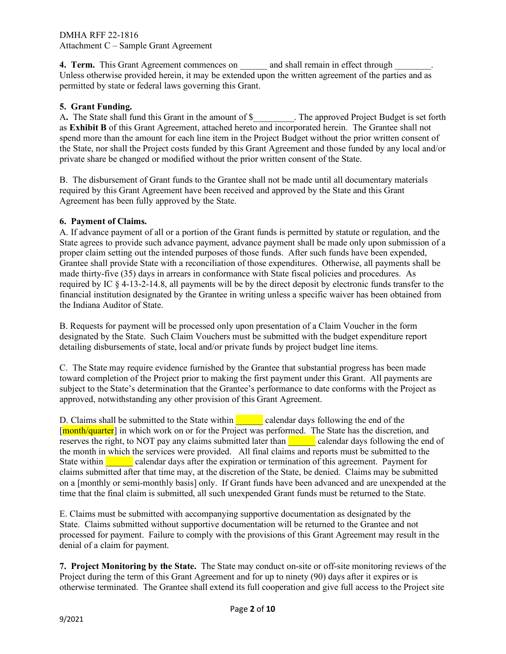**4. Term.** This Grant Agreement commences on \_\_\_\_\_\_ and shall remain in effect through \_\_\_\_\_\_\_. Unless otherwise provided herein, it may be extended upon the written agreement of the parties and as permitted by state or federal laws governing this Grant.

# **5. Grant Funding.**

A**.** The State shall fund this Grant in the amount of \$\_\_\_\_\_\_\_\_\_. The approved Project Budget is set forth as **Exhibit B** of this Grant Agreement, attached hereto and incorporated herein. The Grantee shall not spend more than the amount for each line item in the Project Budget without the prior written consent of the State, nor shall the Project costs funded by this Grant Agreement and those funded by any local and/or private share be changed or modified without the prior written consent of the State.

B. The disbursement of Grant funds to the Grantee shall not be made until all documentary materials required by this Grant Agreement have been received and approved by the State and this Grant Agreement has been fully approved by the State.

# **6. Payment of Claims.**

A. If advance payment of all or a portion of the Grant funds is permitted by statute or regulation, and the State agrees to provide such advance payment, advance payment shall be made only upon submission of a proper claim setting out the intended purposes of those funds. After such funds have been expended, Grantee shall provide State with a reconciliation of those expenditures. Otherwise, all payments shall be made thirty-five (35) days in arrears in conformance with State fiscal policies and procedures. As required by IC § 4-13-2-14.8, all payments will be by the direct deposit by electronic funds transfer to the financial institution designated by the Grantee in writing unless a specific waiver has been obtained from the Indiana Auditor of State.

B. Requests for payment will be processed only upon presentation of a Claim Voucher in the form designated by the State. Such Claim Vouchers must be submitted with the budget expenditure report detailing disbursements of state, local and/or private funds by project budget line items.

C. The State may require evidence furnished by the Grantee that substantial progress has been made toward completion of the Project prior to making the first payment under this Grant. All payments are subject to the State's determination that the Grantee's performance to date conforms with the Project as approved, notwithstanding any other provision of this Grant Agreement.

D. Claims shall be submitted to the State within calendar days following the end of the [month/quarter] in which work on or for the Project was performed. The State has the discretion, and reserves the right, to NOT pay any claims submitted later than calendar days following the end of the month in which the services were provided. All final claims and reports must be submitted to the State within **EXECUTE:** calendar days after the expiration or termination of this agreement. Payment for claims submitted after that time may, at the discretion of the State, be denied. Claims may be submitted on a [monthly or semi-monthly basis] only. If Grant funds have been advanced and are unexpended at the time that the final claim is submitted, all such unexpended Grant funds must be returned to the State.

E. Claims must be submitted with accompanying supportive documentation as designated by the State. Claims submitted without supportive documentation will be returned to the Grantee and not processed for payment. Failure to comply with the provisions of this Grant Agreement may result in the denial of a claim for payment.

**7. Project Monitoring by the State.** The State may conduct on-site or off-site monitoring reviews of the Project during the term of this Grant Agreement and for up to ninety (90) days after it expires or is otherwise terminated. The Grantee shall extend its full cooperation and give full access to the Project site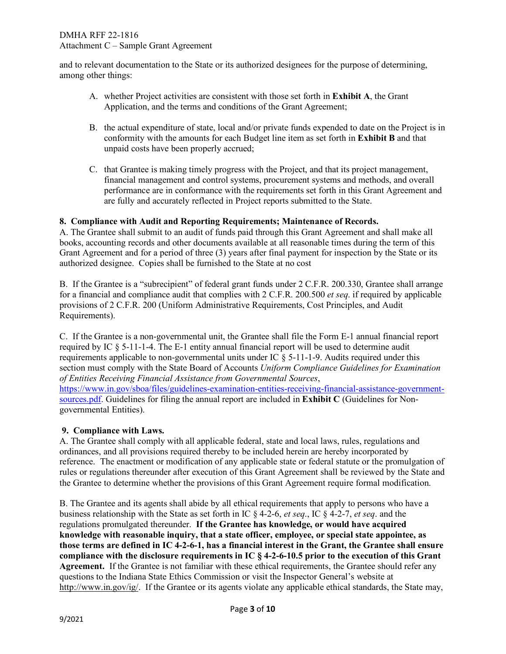and to relevant documentation to the State or its authorized designees for the purpose of determining, among other things:

- A. whether Project activities are consistent with those set forth in **Exhibit A**, the Grant Application, and the terms and conditions of the Grant Agreement;
- B. the actual expenditure of state, local and/or private funds expended to date on the Project is in conformity with the amounts for each Budget line item as set forth in **Exhibit B** and that unpaid costs have been properly accrued;
- C. that Grantee is making timely progress with the Project, and that its project management, financial management and control systems, procurement systems and methods, and overall performance are in conformance with the requirements set forth in this Grant Agreement and are fully and accurately reflected in Project reports submitted to the State.

## **8. Compliance with Audit and Reporting Requirements; Maintenance of Records.**

A. The Grantee shall submit to an audit of funds paid through this Grant Agreement and shall make all books, accounting records and other documents available at all reasonable times during the term of this Grant Agreement and for a period of three (3) years after final payment for inspection by the State or its authorized designee. Copies shall be furnished to the State at no cost

B. If the Grantee is a "subrecipient" of federal grant funds under 2 C.F.R. 200.330, Grantee shall arrange for a financial and compliance audit that complies with 2 C.F.R. 200.500 *et seq*. if required by applicable provisions of 2 C.F.R. 200 (Uniform Administrative Requirements, Cost Principles, and Audit Requirements).

C. If the Grantee is a non-governmental unit, the Grantee shall file the Form E-1 annual financial report required by IC § 5-11-1-4. The E-1 entity annual financial report will be used to determine audit requirements applicable to non-governmental units under IC  $\S$  5-11-1-9. Audits required under this section must comply with the State Board of Accounts *Uniform Compliance Guidelines for Examination of Entities Receiving Financial Assistance from Governmental Sources*, [https://www.in.gov/sboa/files/guidelines-examination-entities-receiving-financial-assistance-government](https://www.in.gov/sboa/files/guidelines-examination-entities-receiving-financial-assistance-government-sources.pdf)[sources.pdf.](https://www.in.gov/sboa/files/guidelines-examination-entities-receiving-financial-assistance-government-sources.pdf) Guidelines for filing the annual report are included in **Exhibit C** (Guidelines for Nongovernmental Entities).

## **9. Compliance with Laws.**

A. The Grantee shall comply with all applicable federal, state and local laws, rules, regulations and ordinances, and all provisions required thereby to be included herein are hereby incorporated by reference. The enactment or modification of any applicable state or federal statute or the promulgation of rules or regulations thereunder after execution of this Grant Agreement shall be reviewed by the State and the Grantee to determine whether the provisions of this Grant Agreement require formal modification.

B. The Grantee and its agents shall abide by all ethical requirements that apply to persons who have a business relationship with the State as set forth in IC § 4-2-6, *et seq*., IC § 4-2-7, *et seq*. and the regulations promulgated thereunder. **If the Grantee has knowledge, or would have acquired knowledge with reasonable inquiry, that a state officer, employee, or special state appointee, as those terms are defined in IC 4-2-6-1, has a financial interest in the Grant, the Grantee shall ensure compliance with the disclosure requirements in IC § 4-2-6-10.5 prior to the execution of this Grant Agreement.** If the Grantee is not familiar with these ethical requirements, the Grantee should refer any questions to the Indiana State Ethics Commission or visit the Inspector General's website at [http://www.in.gov/ig/.](http://www.in.gov/ig/) If the Grantee or its agents violate any applicable ethical standards, the State may,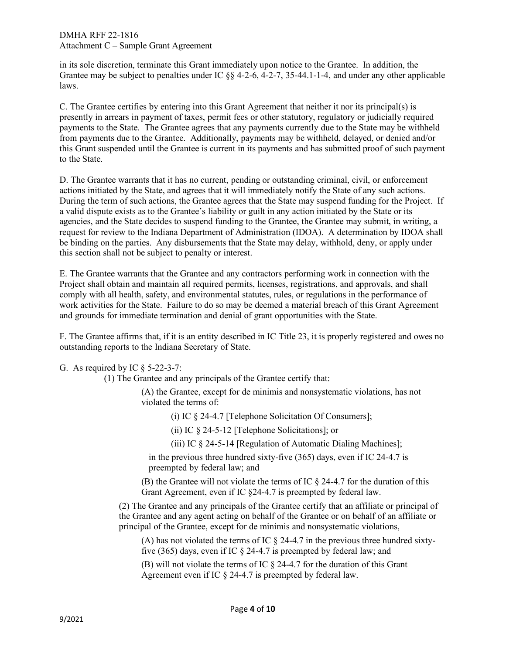in its sole discretion, terminate this Grant immediately upon notice to the Grantee. In addition, the Grantee may be subject to penalties under IC §§ 4-2-6, 4-2-7, 35-44.1-1-4, and under any other applicable laws.

C. The Grantee certifies by entering into this Grant Agreement that neither it nor its principal(s) is presently in arrears in payment of taxes, permit fees or other statutory, regulatory or judicially required payments to the State. The Grantee agrees that any payments currently due to the State may be withheld from payments due to the Grantee. Additionally, payments may be withheld, delayed, or denied and/or this Grant suspended until the Grantee is current in its payments and has submitted proof of such payment to the State.

D. The Grantee warrants that it has no current, pending or outstanding criminal, civil, or enforcement actions initiated by the State, and agrees that it will immediately notify the State of any such actions. During the term of such actions, the Grantee agrees that the State may suspend funding for the Project. If a valid dispute exists as to the Grantee's liability or guilt in any action initiated by the State or its agencies, and the State decides to suspend funding to the Grantee, the Grantee may submit, in writing, a request for review to the Indiana Department of Administration (IDOA). A determination by IDOA shall be binding on the parties. Any disbursements that the State may delay, withhold, deny, or apply under this section shall not be subject to penalty or interest.

E. The Grantee warrants that the Grantee and any contractors performing work in connection with the Project shall obtain and maintain all required permits, licenses, registrations, and approvals, and shall comply with all health, safety, and environmental statutes, rules, or regulations in the performance of work activities for the State. Failure to do so may be deemed a material breach of this Grant Agreement and grounds for immediate termination and denial of grant opportunities with the State.

F. The Grantee affirms that, if it is an entity described in IC Title 23, it is properly registered and owes no outstanding reports to the Indiana Secretary of State.

G. As required by IC § 5-22-3-7:

(1) The Grantee and any principals of the Grantee certify that:

(A) the Grantee, except for de minimis and nonsystematic violations, has not violated the terms of:

(i) IC § 24-4.7 [Telephone Solicitation Of Consumers];

(ii) IC § 24-5-12 [Telephone Solicitations]; or

(iii) IC § 24-5-14 [Regulation of Automatic Dialing Machines];

in the previous three hundred sixty-five (365) days, even if IC 24-4.7 is preempted by federal law; and

(B) the Grantee will not violate the terms of IC § 24-4.7 for the duration of this Grant Agreement, even if IC §24-4.7 is preempted by federal law.

(2) The Grantee and any principals of the Grantee certify that an affiliate or principal of the Grantee and any agent acting on behalf of the Grantee or on behalf of an affiliate or principal of the Grantee, except for de minimis and nonsystematic violations,

(A) has not violated the terms of IC  $\S$  24-4.7 in the previous three hundred sixtyfive (365) days, even if IC § 24-4.7 is preempted by federal law; and

(B) will not violate the terms of IC § 24-4.7 for the duration of this Grant Agreement even if IC § 24-4.7 is preempted by federal law.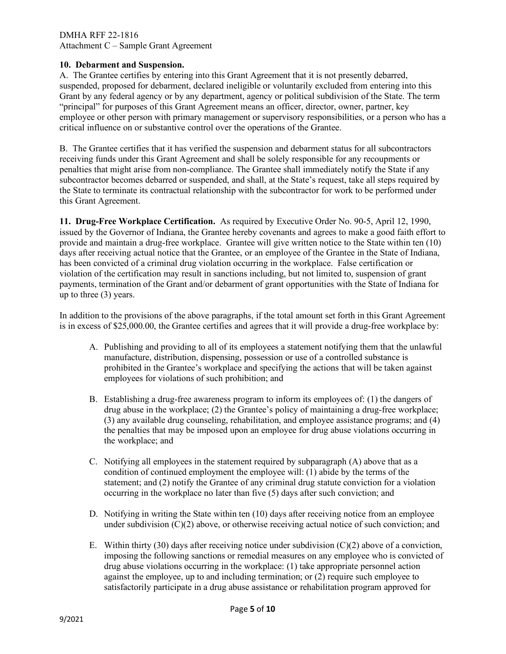## **10. Debarment and Suspension.**

A.The Grantee certifies by entering into this Grant Agreement that it is not presently debarred, suspended, proposed for debarment, declared ineligible or voluntarily excluded from entering into this Grant by any federal agency or by any department, agency or political subdivision of the State. The term "principal" for purposes of this Grant Agreement means an officer, director, owner, partner, key employee or other person with primary management or supervisory responsibilities, or a person who has a critical influence on or substantive control over the operations of the Grantee.

B. The Grantee certifies that it has verified the suspension and debarment status for all subcontractors receiving funds under this Grant Agreement and shall be solely responsible for any recoupments or penalties that might arise from non-compliance. The Grantee shall immediately notify the State if any subcontractor becomes debarred or suspended, and shall, at the State's request, take all steps required by the State to terminate its contractual relationship with the subcontractor for work to be performed under this Grant Agreement.

**11. Drug-Free Workplace Certification.** As required by Executive Order No. 90-5, April 12, 1990, issued by the Governor of Indiana, the Grantee hereby covenants and agrees to make a good faith effort to provide and maintain a drug-free workplace. Grantee will give written notice to the State within ten (10) days after receiving actual notice that the Grantee, or an employee of the Grantee in the State of Indiana, has been convicted of a criminal drug violation occurring in the workplace. False certification or violation of the certification may result in sanctions including, but not limited to, suspension of grant payments, termination of the Grant and/or debarment of grant opportunities with the State of Indiana for up to three (3) years.

In addition to the provisions of the above paragraphs, if the total amount set forth in this Grant Agreement is in excess of \$25,000.00, the Grantee certifies and agrees that it will provide a drug-free workplace by:

- A. Publishing and providing to all of its employees a statement notifying them that the unlawful manufacture, distribution, dispensing, possession or use of a controlled substance is prohibited in the Grantee's workplace and specifying the actions that will be taken against employees for violations of such prohibition; and
- B. Establishing a drug-free awareness program to inform its employees of: (1) the dangers of drug abuse in the workplace; (2) the Grantee's policy of maintaining a drug-free workplace; (3) any available drug counseling, rehabilitation, and employee assistance programs; and (4) the penalties that may be imposed upon an employee for drug abuse violations occurring in the workplace; and
- C. Notifying all employees in the statement required by subparagraph (A) above that as a condition of continued employment the employee will: (1) abide by the terms of the statement; and (2) notify the Grantee of any criminal drug statute conviction for a violation occurring in the workplace no later than five (5) days after such conviction; and
- D. Notifying in writing the State within ten (10) days after receiving notice from an employee under subdivision  $(C)(2)$  above, or otherwise receiving actual notice of such conviction; and
- E. Within thirty (30) days after receiving notice under subdivision  $(C)(2)$  above of a conviction, imposing the following sanctions or remedial measures on any employee who is convicted of drug abuse violations occurring in the workplace: (1) take appropriate personnel action against the employee, up to and including termination; or (2) require such employee to satisfactorily participate in a drug abuse assistance or rehabilitation program approved for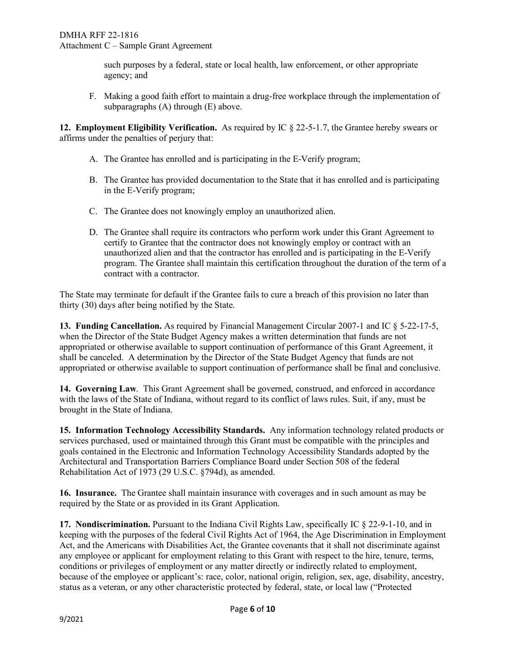such purposes by a federal, state or local health, law enforcement, or other appropriate agency; and

F. Making a good faith effort to maintain a drug-free workplace through the implementation of subparagraphs (A) through (E) above.

**12. Employment Eligibility Verification.** As required by IC § 22-5-1.7, the Grantee hereby swears or affirms under the penalties of perjury that:

- A. The Grantee has enrolled and is participating in the E-Verify program;
- B. The Grantee has provided documentation to the State that it has enrolled and is participating in the E-Verify program;
- C. The Grantee does not knowingly employ an unauthorized alien.
- D. The Grantee shall require its contractors who perform work under this Grant Agreement to certify to Grantee that the contractor does not knowingly employ or contract with an unauthorized alien and that the contractor has enrolled and is participating in the E-Verify program. The Grantee shall maintain this certification throughout the duration of the term of a contract with a contractor.

The State may terminate for default if the Grantee fails to cure a breach of this provision no later than thirty (30) days after being notified by the State.

**13. Funding Cancellation.** As required by Financial Management Circular 2007-1 and IC § 5-22-17-5, when the Director of the State Budget Agency makes a written determination that funds are not appropriated or otherwise available to support continuation of performance of this Grant Agreement, it shall be canceled. A determination by the Director of the State Budget Agency that funds are not appropriated or otherwise available to support continuation of performance shall be final and conclusive.

**14. Governing Law**. This Grant Agreement shall be governed, construed, and enforced in accordance with the laws of the State of Indiana, without regard to its conflict of laws rules. Suit, if any, must be brought in the State of Indiana.

**15. Information Technology Accessibility Standards.** Any information technology related products or services purchased, used or maintained through this Grant must be compatible with the principles and goals contained in the Electronic and Information Technology Accessibility Standards adopted by the Architectural and Transportation Barriers Compliance Board under Section 508 of the federal Rehabilitation Act of 1973 (29 U.S.C. §794d), as amended.

**16. Insurance.** The Grantee shall maintain insurance with coverages and in such amount as may be required by the State or as provided in its Grant Application.

**17. Nondiscrimination.** Pursuant to the Indiana Civil Rights Law, specifically IC § 22-9-1-10, and in keeping with the purposes of the federal Civil Rights Act of 1964, the Age Discrimination in Employment Act, and the Americans with Disabilities Act, the Grantee covenants that it shall not discriminate against any employee or applicant for employment relating to this Grant with respect to the hire, tenure, terms, conditions or privileges of employment or any matter directly or indirectly related to employment, because of the employee or applicant's: race, color, national origin, religion, sex, age, disability, ancestry, status as a veteran, or any other characteristic protected by federal, state, or local law ("Protected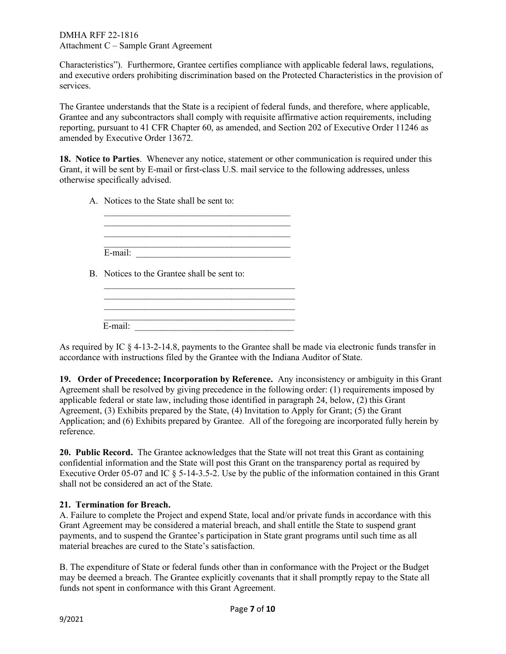Characteristics"). Furthermore, Grantee certifies compliance with applicable federal laws, regulations, and executive orders prohibiting discrimination based on the Protected Characteristics in the provision of services.

The Grantee understands that the State is a recipient of federal funds, and therefore, where applicable, Grantee and any subcontractors shall comply with requisite affirmative action requirements, including reporting, pursuant to 41 CFR Chapter 60, as amended, and Section 202 of Executive Order 11246 as amended by Executive Order 13672.

**18. Notice to Parties**. Whenever any notice, statement or other communication is required under this Grant, it will be sent by E-mail or first-class U.S. mail service to the following addresses, unless otherwise specifically advised.

A. Notices to the State shall be sent to:

| E-mail: |  |  |
|---------|--|--|
|         |  |  |

B. Notices to the Grantee shall be sent to:

 $\frac{1}{\sqrt{2}}$  ,  $\frac{1}{\sqrt{2}}$  ,  $\frac{1}{\sqrt{2}}$  ,  $\frac{1}{\sqrt{2}}$  ,  $\frac{1}{\sqrt{2}}$  ,  $\frac{1}{\sqrt{2}}$  ,  $\frac{1}{\sqrt{2}}$  ,  $\frac{1}{\sqrt{2}}$  ,  $\frac{1}{\sqrt{2}}$  ,  $\frac{1}{\sqrt{2}}$  ,  $\frac{1}{\sqrt{2}}$  ,  $\frac{1}{\sqrt{2}}$  ,  $\frac{1}{\sqrt{2}}$  ,  $\frac{1}{\sqrt{2}}$  ,  $\frac{1}{\sqrt{2}}$ 

| E-mail: |  |
|---------|--|

As required by IC § 4-13-2-14.8, payments to the Grantee shall be made via electronic funds transfer in accordance with instructions filed by the Grantee with the Indiana Auditor of State.

**19. Order of Precedence; Incorporation by Reference.** Any inconsistency or ambiguity in this Grant Agreement shall be resolved by giving precedence in the following order: (1) requirements imposed by applicable federal or state law, including those identified in paragraph 24, below, (2) this Grant Agreement, (3) Exhibits prepared by the State, (4) Invitation to Apply for Grant; (5) the Grant Application; and (6) Exhibits prepared by Grantee. All of the foregoing are incorporated fully herein by reference.

**20. Public Record.** The Grantee acknowledges that the State will not treat this Grant as containing confidential information and the State will post this Grant on the transparency portal as required by Executive Order 05-07 and IC § 5-14-3.5-2. Use by the public of the information contained in this Grant shall not be considered an act of the State.

# **21. Termination for Breach.**

A. Failure to complete the Project and expend State, local and/or private funds in accordance with this Grant Agreement may be considered a material breach, and shall entitle the State to suspend grant payments, and to suspend the Grantee's participation in State grant programs until such time as all material breaches are cured to the State's satisfaction.

B. The expenditure of State or federal funds other than in conformance with the Project or the Budget may be deemed a breach. The Grantee explicitly covenants that it shall promptly repay to the State all funds not spent in conformance with this Grant Agreement.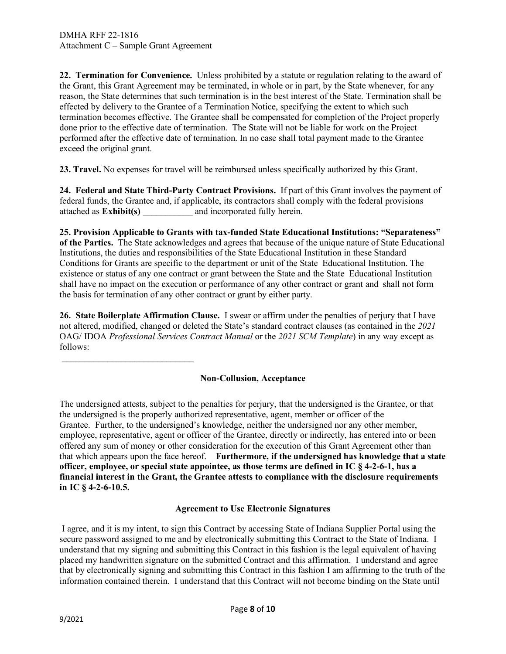$\frac{1}{2}$  ,  $\frac{1}{2}$  ,  $\frac{1}{2}$  ,  $\frac{1}{2}$  ,  $\frac{1}{2}$  ,  $\frac{1}{2}$  ,  $\frac{1}{2}$  ,  $\frac{1}{2}$  ,  $\frac{1}{2}$  ,  $\frac{1}{2}$  ,  $\frac{1}{2}$  ,  $\frac{1}{2}$  ,  $\frac{1}{2}$  ,  $\frac{1}{2}$  ,  $\frac{1}{2}$  ,  $\frac{1}{2}$  ,  $\frac{1}{2}$  ,  $\frac{1}{2}$  ,  $\frac{1$ 

**22. Termination for Convenience.** Unless prohibited by a statute or regulation relating to the award of the Grant, this Grant Agreement may be terminated, in whole or in part, by the State whenever, for any reason, the State determines that such termination is in the best interest of the State. Termination shall be effected by delivery to the Grantee of a Termination Notice, specifying the extent to which such termination becomes effective. The Grantee shall be compensated for completion of the Project properly done prior to the effective date of termination. The State will not be liable for work on the Project performed after the effective date of termination. In no case shall total payment made to the Grantee exceed the original grant.

**23. Travel.** No expenses for travel will be reimbursed unless specifically authorized by this Grant.

**24. Federal and State Third-Party Contract Provisions.** If part of this Grant involves the payment of federal funds, the Grantee and, if applicable, its contractors shall comply with the federal provisions attached as **Exhibit(s)** \_\_\_\_\_\_\_\_\_\_\_ and incorporated fully herein.

**25. Provision Applicable to Grants with tax-funded State Educational Institutions: "Separateness" of the Parties.** The State acknowledges and agrees that because of the unique nature of State Educational Institutions, the duties and responsibilities of the State Educational Institution in these Standard Conditions for Grants are specific to the department or unit of the State Educational Institution. The existence or status of any one contract or grant between the State and the State Educational Institution shall have no impact on the execution or performance of any other contract or grant and shall not form the basis for termination of any other contract or grant by either party.

**26. State Boilerplate Affirmation Clause.** I swear or affirm under the penalties of perjury that I have not altered, modified, changed or deleted the State's standard contract clauses (as contained in the *2021*  OAG/ IDOA *Professional Services Contract Manual* or the *2021 SCM Template*) in any way except as follows:

## **Non-Collusion, Acceptance**

The undersigned attests, subject to the penalties for perjury, that the undersigned is the Grantee, or that the undersigned is the properly authorized representative, agent, member or officer of the Grantee. Further, to the undersigned's knowledge, neither the undersigned nor any other member, employee, representative, agent or officer of the Grantee, directly or indirectly, has entered into or been offered any sum of money or other consideration for the execution of this Grant Agreement other than that which appears upon the face hereof. **Furthermore, if the undersigned has knowledge that a state officer, employee, or special state appointee, as those terms are defined in IC § 4-2-6-1, has a financial interest in the Grant, the Grantee attests to compliance with the disclosure requirements in IC § 4-2-6-10.5.** 

## **Agreement to Use Electronic Signatures**

I agree, and it is my intent, to sign this Contract by accessing State of Indiana Supplier Portal using the secure password assigned to me and by electronically submitting this Contract to the State of Indiana. I understand that my signing and submitting this Contract in this fashion is the legal equivalent of having placed my handwritten signature on the submitted Contract and this affirmation. I understand and agree that by electronically signing and submitting this Contract in this fashion I am affirming to the truth of the information contained therein. I understand that this Contract will not become binding on the State until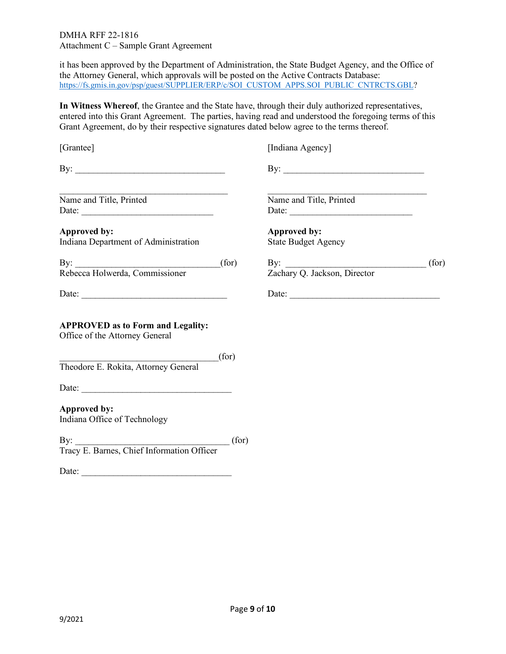it has been approved by the Department of Administration, the State Budget Agency, and the Office of the Attorney General, which approvals will be posted on the Active Contracts Database: [https://fs.gmis.in.gov/psp/guest/SUPPLIER/ERP/c/SOI\\_CUSTOM\\_APPS.SOI\\_PUBLIC\\_CNTRCTS.GBL?](https://fs.gmis.in.gov/psp/guest/SUPPLIER/ERP/c/SOI_CUSTOM_APPS.SOI_PUBLIC_CNTRCTS.GBL)

**In Witness Whereof**, the Grantee and the State have, through their duly authorized representatives, entered into this Grant Agreement. The parties, having read and understood the foregoing terms of this Grant Agreement, do by their respective signatures dated below agree to the terms thereof.

| [Grantee]                                                                  |       | [Indiana Agency]                           |  |
|----------------------------------------------------------------------------|-------|--------------------------------------------|--|
| By: $\qquad \qquad$                                                        |       |                                            |  |
| Name and Title, Printed                                                    |       | Name and Title, Printed                    |  |
| <b>Approved by:</b><br>Indiana Department of Administration                |       | Approved by:<br><b>State Budget Agency</b> |  |
|                                                                            |       | By:<br>Zachary Q. Jackson, Director (for)  |  |
|                                                                            |       |                                            |  |
| <b>APPROVED as to Form and Legality:</b><br>Office of the Attorney General |       |                                            |  |
| Theodore E. Rokita, Attorney General                                       | (for) |                                            |  |
|                                                                            |       |                                            |  |
| <b>Approved by:</b><br>Indiana Office of Technology                        |       |                                            |  |
| By: [for ]<br>Tracy E. Barnes, Chief Information Officer                   |       |                                            |  |
| Date: $\frac{1}{\sqrt{1-\frac{1}{2}}\left(\frac{1}{2}-\frac{1}{2}\right)}$ |       |                                            |  |